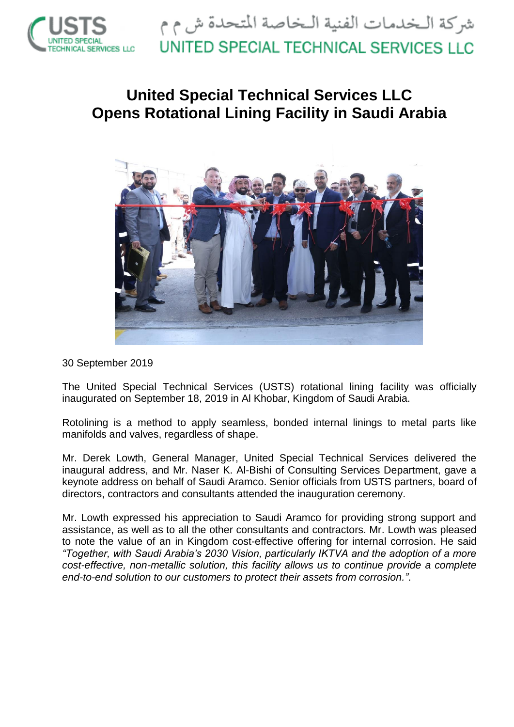

## **United Special Technical Services LLC Opens Rotational Lining Facility in Saudi Arabia**



30 September 2019

The United Special Technical Services (USTS) rotational lining facility was officially inaugurated on September 18, 2019 in Al Khobar, Kingdom of Saudi Arabia.

Rotolining is a method to apply seamless, bonded internal linings to metal parts like manifolds and valves, regardless of shape.

Mr. Derek Lowth, General Manager, United Special Technical Services delivered the inaugural address, and Mr. Naser K. Al-Bishi of Consulting Services Department, gave a keynote address on behalf of Saudi Aramco. Senior officials from USTS partners, board of directors, contractors and consultants attended the inauguration ceremony.

Mr. Lowth expressed his appreciation to Saudi Aramco for providing strong support and assistance, as well as to all the other consultants and contractors. Mr. Lowth was pleased to note the value of an in Kingdom cost-effective offering for internal corrosion. He said *"Together, with Saudi Arabia's 2030 Vision, particularly IKTVA and the adoption of a more cost-effective, non-metallic solution, this facility allows us to continue provide a complete end-to-end solution to our customers to protect their assets from corrosion."*.